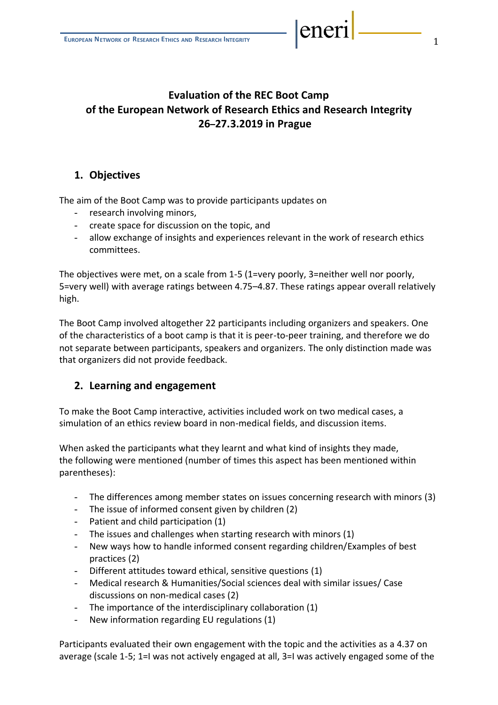# **Evaluation of the REC Boot Camp of the European Network of Research Ethics and Research Integrity 26–27.3.2019 in Prague**

### **1. Objectives**

The aim of the Boot Camp was to provide participants updates on

- research involving minors,
- create space for discussion on the topic, and
- allow exchange of insights and experiences relevant in the work of research ethics committees.

The objectives were met, on a scale from 1-5 (1=very poorly, 3=neither well nor poorly, 5=very well) with average ratings between 4.75–4.87. These ratings appear overall relatively high.

The Boot Camp involved altogether 22 participants including organizers and speakers. One of the characteristics of a boot camp is that it is peer-to-peer training, and therefore we do not separate between participants, speakers and organizers. The only distinction made was that organizers did not provide feedback.

#### **2. Learning and engagement**

To make the Boot Camp interactive, activities included work on two medical cases, a simulation of an ethics review board in non-medical fields, and discussion items.

When asked the participants what they learnt and what kind of insights they made, the following were mentioned (number of times this aspect has been mentioned within parentheses):

- The differences among member states on issues concerning research with minors (3)
- The issue of informed consent given by children (2)
- Patient and child participation (1)
- The issues and challenges when starting research with minors (1)
- New ways how to handle informed consent regarding children/Examples of best practices (2)
- Different attitudes toward ethical, sensitive questions (1)
- Medical research & Humanities/Social sciences deal with similar issues/ Case discussions on non-medical cases (2)
- The importance of the interdisciplinary collaboration (1)
- New information regarding EU regulations (1)

Participants evaluated their own engagement with the topic and the activities as a 4.37 on average (scale 1-5; 1=I was not actively engaged at all, 3=I was actively engaged some of the